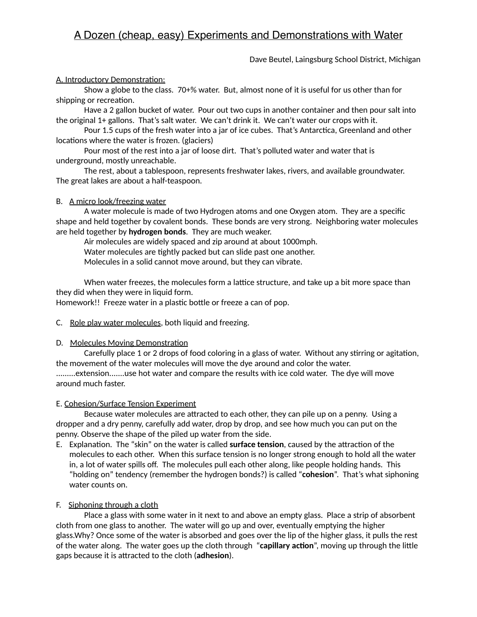## Dave Beutel, Laingsburg School District, Michigan

### A. Introductory Demonstration:

 Show a globe to the class. 70+% water. But, almost none of it is useful for us other than for shipping or recreation.

 Have a 2 gallon bucket of water. Pour out two cups in another container and then pour salt into the original 1+ gallons. That's salt water. We can't drink it. We can't water our crops with it.

Pour 1.5 cups of the fresh water into a jar of ice cubes. That's Antarctica, Greenland and other locations where the water is frozen. (glaciers)

 Pour most of the rest into a jar of loose dirt. That's polluted water and water that is underground, mostly unreachable.

 The rest, about a tablespoon, represents freshwater lakes, rivers, and available groundwater. The great lakes are about a half-teaspoon.

### B. A micro look/freezing water

 A water molecule is made of two Hydrogen atoms and one Oxygen atom. They are a specific shape and held together by covalent bonds. These bonds are very strong. Neighboring water molecules are held together by **hydrogen bonds**. They are much weaker.

Air molecules are widely spaced and zip around at about 1000mph.

Water molecules are tightly packed but can slide past one another.

Molecules in a solid cannot move around, but they can vibrate.

When water freezes, the molecules form a lattice structure, and take up a bit more space than they did when they were in liquid form.

Homework!! Freeze water in a plastic bottle or freeze a can of pop.

### C. Role play water molecules, both liquid and freezing.

### D. Molecules Moving Demonstration

Carefully place 1 or 2 drops of food coloring in a glass of water. Without any stirring or agitation, the movement of the water molecules will move the dye around and color the water. .........extension.......use hot water and compare the results with ice cold water. The dye will move around much faster.

### E. Cohesion/Surface Tension Experiment

Because water molecules are attracted to each other, they can pile up on a penny. Using a dropper and a dry penny, carefully add water, drop by drop, and see how much you can put on the penny. Observe the shape of the piled up water from the side.

E. Explanation. The "skin" on the water is called **surface tension**, caused by the attraction of the molecules to each other. When this surface tension is no longer strong enough to hold all the water in, a lot of water spills off. The molecules pull each other along, like people holding hands. This "holding on" tendency (remember the hydrogen bonds?) is called "**cohesion**". That's what siphoning water counts on.

### F. Siphoning through a cloth

 Place a glass with some water in it next to and above an empty glass. Place a strip of absorbent cloth from one glass to another. The water will go up and over, eventually emptying the higher glass.Why? Once some of the water is absorbed and goes over the lip of the higher glass, it pulls the rest of the water along. The water goes up the cloth through "capillary action", moving up through the little gaps because it is attracted to the cloth (**adhesion**).